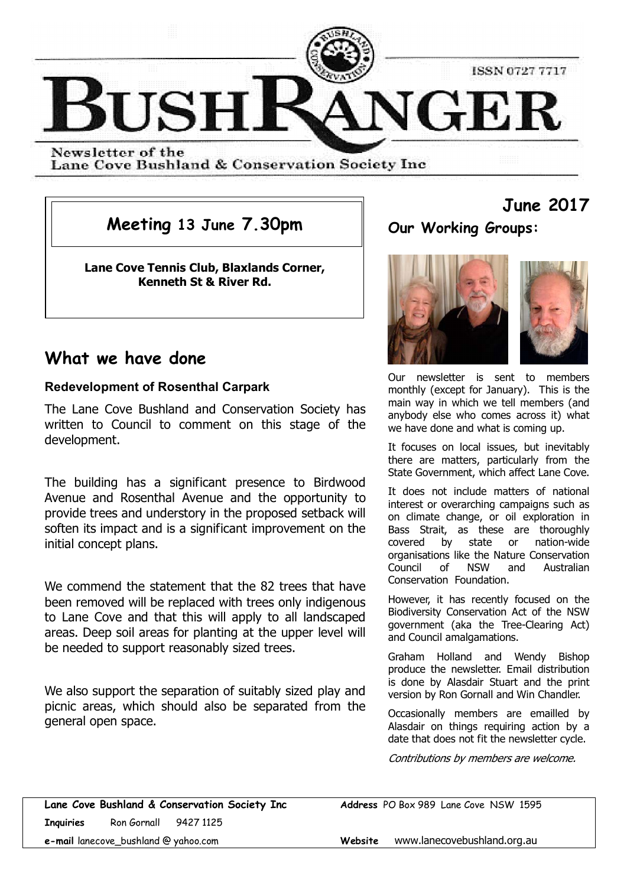

Newsletter of the Lane Cove Bushland & Conservation Society Inc

**Meeting 13 June 7.30pm**

**Lane Cove Tennis Club, Blaxlands Corner, Kenneth St & River Rd.**

**Our Working Groups:**

**June 2017**

**THE RESIDENT OF STATE** 

## **What we have done**

## **Redevelopment of Rosenthal Carpark**

The Lane Cove Bushland and Conservation Society has written to Council to comment on this stage of the development.

The building has a significant presence to Birdwood Avenue and Rosenthal Avenue and the opportunity to provide trees and understory in the proposed setback will soften its impact and is a significant improvement on the initial concept plans.

We commend the statement that the 82 trees that have been removed will be replaced with trees only indigenous to Lane Cove and that this will apply to all landscaped areas. Deep soil areas for planting at the upper level will be needed to support reasonably sized trees.

We also support the separation of suitably sized play and picnic areas, which should also be separated from the general open space.

Our newsletter is sent to members monthly (except for January). This is the main way in which we tell members (and anybody else who comes across it) what we have done and what is coming up.

It focuses on local issues, but inevitably there are matters, particularly from the State Government, which affect Lane Cove.

It does not include matters of national interest or overarching campaigns such as on climate change, or oil exploration in Bass Strait, as these are thoroughly covered by state or nation-wide organisations like the Nature Conservation Council of NSW and Australian Conservation Foundation.

However, it has recently focused on the Biodiversity Conservation Act of the NSW government (aka the Tree-Clearing Act) and Council amalgamations.

Graham Holland and Wendy Bishop produce the newsletter. Email distribution is done by Alasdair Stuart and the print version by Ron Gornall and Win Chandler.

Occasionally members are emailled by Alasdair on things requiring action by a date that does not fit the newsletter cycle.

Contributions by members are welcome.

**Lane Cove Bushland & Conservation Society Inc Address** PO Box 989 Lane Cove NSW 1595 **Inquiries** Ron Gornall 9427 1125 **e-mail** lanecove\_bushland @ yahoo.com **Website** www.lanecovebushland.org.au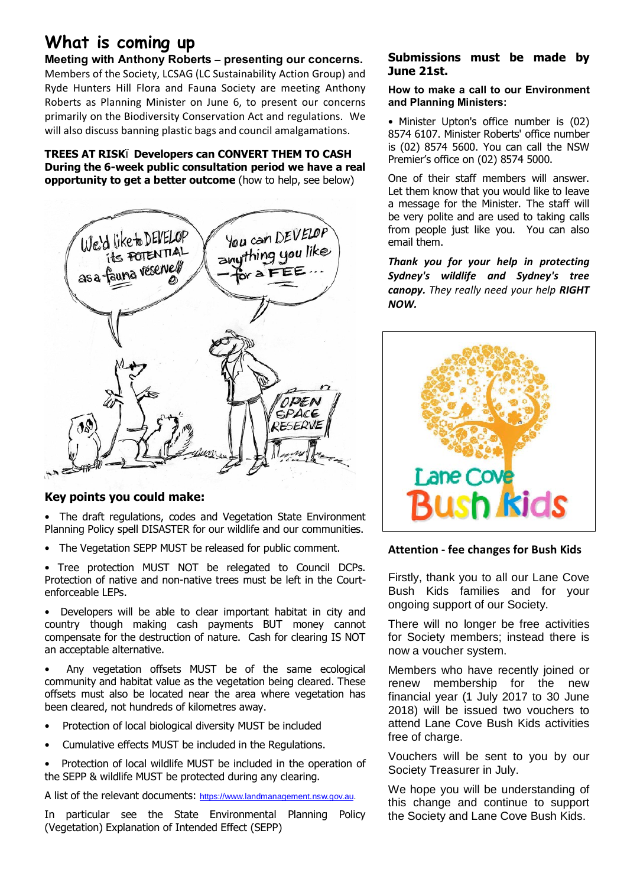# **What is coming up**

**Meeting with Anthony Roberts – presenting our concerns.** Members of the Society, LCSAG (LC Sustainability Action Group) and Ryde Hunters Hill Flora and Fauna Society are meeting Anthony Roberts as Planning Minister on June 6, to present our concerns primarily on the Biodiversity Conservation Act and regulations. We will also discuss banning plastic bags and council amalgamations.

### **TREES AT RISK<sup>6</sup> Developers can CONVERT THEM TO CASH During the 6-week public consultation period we have a real opportunity to get a better outcome** (how to help, see below)



## **Key points you could make:**

• The draft regulations, codes and Vegetation State Environment Planning Policy spell DISASTER for our wildlife and our communities.

• The Vegetation SEPP MUST be released for public comment.

• Tree protection MUST NOT be relegated to Council DCPs. Protection of native and non-native trees must be left in the Courtenforceable LEPs.

• Developers will be able to clear important habitat in city and country though making cash payments BUT money cannot compensate for the destruction of nature. Cash for clearing IS NOT an acceptable alternative.

Any vegetation offsets MUST be of the same ecological community and habitat value as the vegetation being cleared. These offsets must also be located near the area where vegetation has been cleared, not hundreds of kilometres away.

- Protection of local biological diversity MUST be included
- Cumulative effects MUST be included in the Regulations.
- Protection of local wildlife MUST be included in the operation of the SEPP & wildlife MUST be protected during any clearing.

A list of the relevant documents: https://www.landmanagement.nsw.gov.au.

In particular see the State Environmental Planning Policy (Vegetation) Explanation of Intended Effect (SEPP)

## **Submissions must be made by June 21st.**

#### **How to make a call to our Environment and Planning Ministers:**

• Minister Upton's office number is (02) 8574 6107. Minister Roberts' office number is (02) 8574 5600. You can call the NSW Premier's office on (02) 8574 5000.

One of their staff members will answer. Let them know that you would like to leave a message for the Minister. The staff will be very polite and are used to taking calls from people just like you. You can also email them.

*Thank you for your help in protecting Sydney's wildlife and Sydney's tree canopy. They really need your help RIGHT NOW.*



## **Attention - fee changes for Bush Kids**

Firstly, thank you to all our Lane Cove Bush Kids families and for your ongoing support of our Society.

There will no longer be free activities for Society members; instead there is now a voucher system.

Members who have recently joined or renew membership for the new financial year (1 July 2017 to 30 June 2018) will be issued two vouchers to attend Lane Cove Bush Kids activities free of charge.

Vouchers will be sent to you by our Society Treasurer in July.

We hope you will be understanding of this change and continue to support the Society and Lane Cove Bush Kids.